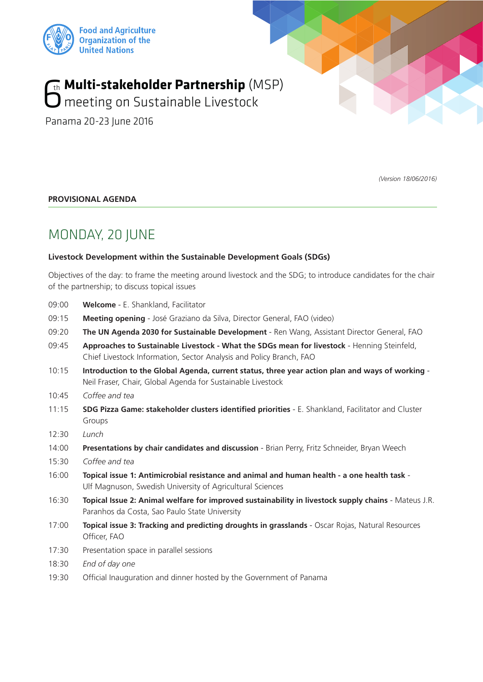

# **G**<sup>th</sup> Multi-stakeholder Partnership (MSP)<br> **O** meeting on Sustainable Livestock th

Panama 20-23 June 2016

*(Version 18/06/2016)*

### **PROVISIONAL AGENDA**

# MONDAY, 20 JUNE

### **Livestock Development within the Sustainable Development Goals (SDGs)**

Objectives of the day: to frame the meeting around livestock and the SDG; to introduce candidates for the chair of the partnership; to discuss topical issues

- 09:00 **Welcome**  E. Shankland, Facilitator
- 09:15 **Meeting opening** José Graziano da Silva, Director General, FAO (video)
- 09:20 **The UN Agenda 2030 for Sustainable Development**  Ren Wang, Assistant Director General, FAO
- 09:45 **Approaches to Sustainable Livestock What the SDGs mean for livestock** Henning Steinfeld, Chief Livestock Information, Sector Analysis and Policy Branch, FAO
- 10:15 **Introduction to the Global Agenda, current status, three year action plan and ways of working**  Neil Fraser, Chair, Global Agenda for Sustainable Livestock
- 10:45 *Coffee and tea*
- 11:15 **SDG Pizza Game: stakeholder clusters identified priorities** E. Shankland, Facilitator and Cluster Groups
- 12:30 *Lunch*

14:00 **Presentations by chair candidates and discussion** - Brian Perry, Fritz Schneider, Bryan Weech

- 15:30 *Coffee and tea*
- 16:00 **Topical issue 1: Antimicrobial resistance and animal and human health a one health task** Ulf Magnuson, Swedish University of Agricultural Sciences
- 16:30 **Topical Issue 2: Animal welfare for improved sustainability in livestock supply chains** Mateus J.R. Paranhos da Costa, Sao Paulo State University
- 17:00 **Topical issue 3: Tracking and predicting droughts in grasslands** Oscar Rojas, Natural Resources Officer, FAO
- 17:30 Presentation space in parallel sessions
- 18:30 *End of day one*
- 19:30 Official Inauguration and dinner hosted by the Government of Panama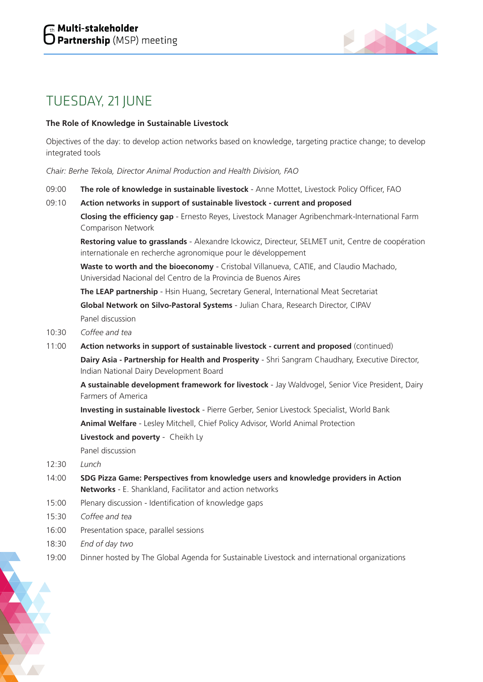

## TUESDAY, 21 JUNE

#### **The Role of Knowledge in Sustainable Livestock**

Objectives of the day: to develop action networks based on knowledge, targeting practice change; to develop integrated tools

*Chair: Berhe Tekola, Director Animal Production and Health Division, FAO*

- 09:00 **The role of knowledge in sustainable livestock**  Anne Mottet, Livestock Policy Officer, FAO
- 09:10 **Action networks in support of sustainable livestock current and proposed**

**Closing the efficiency gap** - Ernesto Reyes, Livestock Manager Agribenchmark-International Farm Comparison Network

**Restoring value to grasslands** - Alexandre Ickowicz, Directeur, SELMET unit, Centre de coopération internationale en recherche agronomique pour le développement

**Waste to worth and the bioeconomy** - Cristobal Villanueva, CATIE, and Claudio Machado, Universidad Nacional del Centro de la Provincia de Buenos Aires

**The LEAP partnership** - Hsin Huang, Secretary General, International Meat Secretariat

**Global Network on Silvo-Pastoral Systems** - Julian Chara, Research Director, CIPAV

Panel discussion

- 10:30 *Coffee and tea*
- 11:00 **Action networks in support of sustainable livestock current and proposed** (continued) **Dairy Asia - Partnership for Health and Prosperity** - Shri Sangram Chaudhary, Executive Director, Indian National Dairy Development Board

**A sustainable development framework for livestock** - Jay Waldvogel, Senior Vice President, Dairy Farmers of America

**Investing in sustainable livestock** - Pierre Gerber, Senior Livestock Specialist, World Bank

**Animal Welfare** - Lesley Mitchell, Chief Policy Advisor, World Animal Protection

**Livestock and poverty** - Cheikh Ly

Panel discussion

- 12:30 *Lunch*
- 14:00 **SDG Pizza Game: Perspectives from knowledge users and knowledge providers in Action Networks** - E. Shankland, Facilitator and action networks
- 15:00 Plenary discussion Identification of knowledge gaps
- 15:30 *Coffee and tea*
- 16:00 Presentation space, parallel sessions
- 18:30 *End of day two*
- 19:00 Dinner hosted by The Global Agenda for Sustainable Livestock and international organizations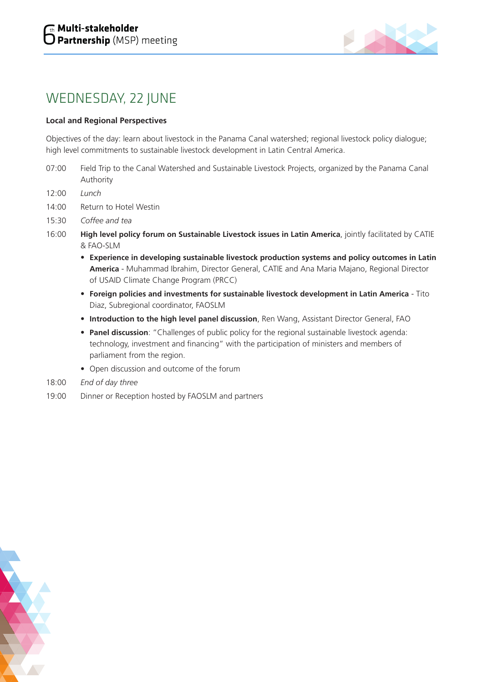

# WEDNESDAY, 22 JUNE

### **Local and Regional Perspectives**

Objectives of the day: learn about livestock in the Panama Canal watershed; regional livestock policy dialogue; high level commitments to sustainable livestock development in Latin Central America.

- 07:00 Field Trip to the Canal Watershed and Sustainable Livestock Projects, organized by the Panama Canal Authority
- 12:00 *Lunch*
- 14:00 Return to Hotel Westin
- 15:30 *Coffee and tea*
- 16:00 **High level policy forum on Sustainable Livestock issues in Latin America**, jointly facilitated by CATIE & FAO-SLM
	- • **Experience in developing sustainable livestock production systems and policy outcomes in Latin America** - Muhammad Ibrahim, Director General, CATIE and Ana Maria Majano, Regional Director of USAID Climate Change Program (PRCC)
	- • **Foreign policies and investments for sustainable livestock development in Latin America** Tito Diaz, Subregional coordinator, FAOSLM
	- • **Introduction to the high level panel discussion**, Ren Wang, Assistant Director General, FAO
	- **Panel discussion**: "Challenges of public policy for the regional sustainable livestock agenda: technology, investment and financing" with the participation of ministers and members of parliament from the region.
	- Open discussion and outcome of the forum
- 18:00 *End of day three*
- 19:00 Dinner or Reception hosted by FAOSLM and partners